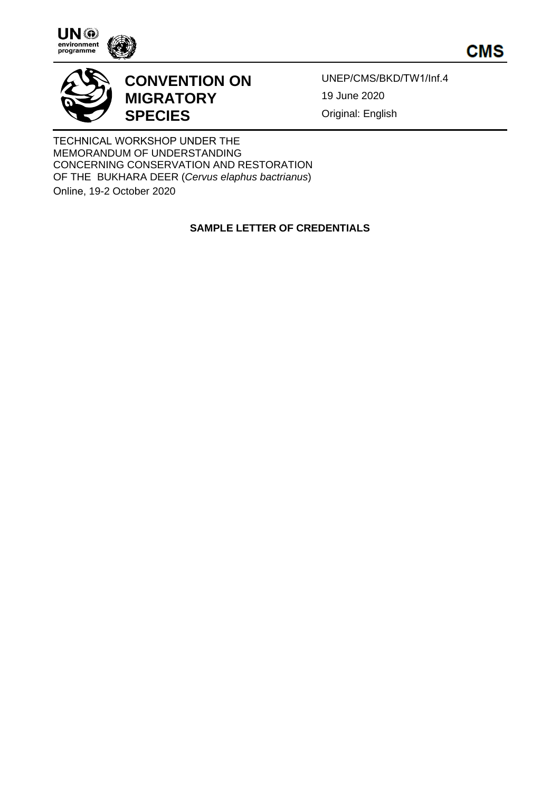



## **CONVENTION ON MIGRATORY SPECIES**

UNEP/CMS/BKD/TW1/Inf.4 19 June 2020 Original: English

TECHNICAL WORKSHOP UNDER THE MEMORANDUM OF UNDERSTANDING CONCERNING CONSERVATION AND RESTORATION OF THE BUKHARA DEER (*Cervus elaphus bactrianus*) Online, 19-2 October 2020

## **SAMPLE LETTER OF CREDENTIALS**